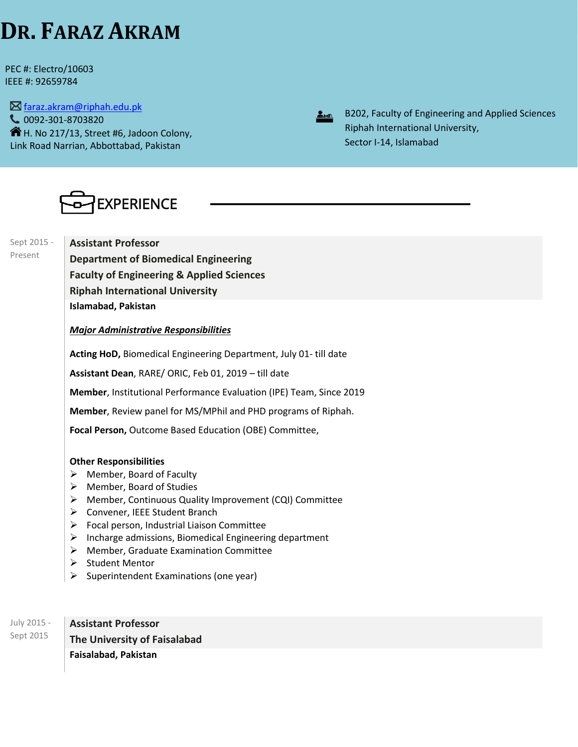# **DR. FARAZ AKRAM**

PEC #: Electro/10603 IEEE #: 92659784

 $\boxtimes$  [faraz.akram@riphah.edu.pk](mailto:faraz.akram@riphah.edu.pk) 0092-301-8703820  $\mathbf{\hat{R}}$  H. No 217/13, Street #6, Jadoon Colony, Link Road Narrian, Abbottabad, Pakistan



B202, Faculty of Engineering and Applied Sciences Riphah International University, Sector I-14, Islamabad



Sept 2015 - Present

**Assistant Professor Department of Biomedical Engineering Faculty of Engineering & Applied Sciences Riphah International University Islamabad, Pakistan**

*Major Administrative Responsibilities*

**Acting HoD,** Biomedical Engineering Department, July 01- till date

**Assistant Dean**, RARE/ ORIC, Feb 01, 2019 – till date

**Member**, Institutional Performance Evaluation (IPE) Team, Since 2019

**Member**, Review panel for MS/MPhil and PHD programs of Riphah.

**Focal Person,** Outcome Based Education (OBE) Committee,

### **Other Responsibilities**

- ➢ Member, Board of Faculty
- ➢ Member, Board of Studies
- ➢ Member, Continuous Quality Improvement (CQI) Committee
- ➢ Convener, IEEE Student Branch
- $\triangleright$  Focal person, Industrial Liaison Committee
- $\triangleright$  Incharge admissions, Biomedical Engineering department
- ➢ Member, Graduate Examination Committee
- ➢ Student Mentor
- $\triangleright$  Superintendent Examinations (one year)

July 2015 - Sept 2015 **Assistant Professor The University of Faisalabad Faisalabad, Pakistan**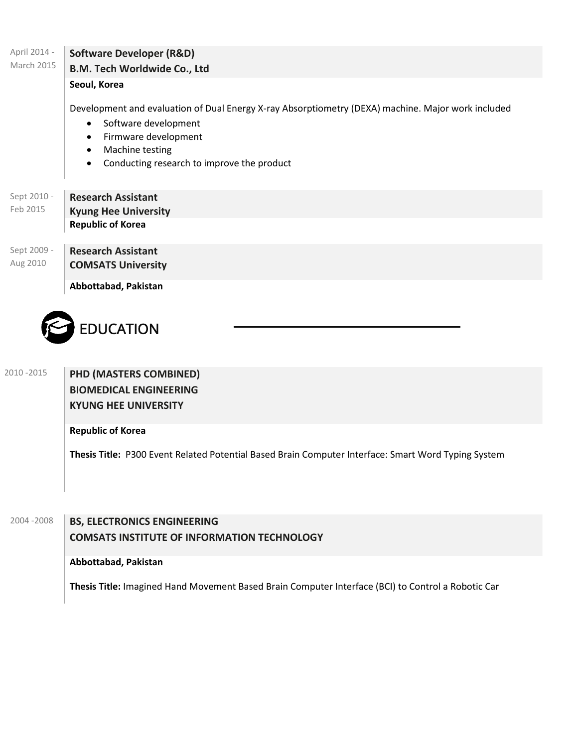| April 2014 -<br>March 2015 | <b>Software Developer (R&amp;D)</b>                                                                 |
|----------------------------|-----------------------------------------------------------------------------------------------------|
|                            | B.M. Tech Worldwide Co., Ltd                                                                        |
|                            | Seoul, Korea                                                                                        |
|                            | Development and evaluation of Dual Energy X-ray Absorptiometry (DEXA) machine. Major work included  |
|                            | Software development<br>$\bullet$                                                                   |
|                            | Firmware development<br>$\bullet$                                                                   |
|                            | Machine testing<br>$\bullet$                                                                        |
|                            | Conducting research to improve the product<br>$\bullet$                                             |
|                            |                                                                                                     |
| Sept 2010 -                | <b>Research Assistant</b>                                                                           |
| Feb 2015                   | <b>Kyung Hee University</b>                                                                         |
|                            | <b>Republic of Korea</b>                                                                            |
| Sept 2009 -                | <b>Research Assistant</b>                                                                           |
| Aug 2010                   | <b>COMSATS University</b>                                                                           |
|                            |                                                                                                     |
|                            | Abbottabad, Pakistan                                                                                |
|                            |                                                                                                     |
|                            | <b>EDUCATION</b>                                                                                    |
|                            |                                                                                                     |
|                            |                                                                                                     |
| 2010 - 2015                | PHD (MASTERS COMBINED)                                                                              |
|                            | <b>BIOMEDICAL ENGINEERING</b>                                                                       |
|                            | <b>KYUNG HEE UNIVERSITY</b>                                                                         |
|                            |                                                                                                     |
|                            | <b>Republic of Korea</b>                                                                            |
|                            | Thesis Title: P300 Event Related Potential Based Brain Computer Interface: Smart Word Typing System |
|                            |                                                                                                     |
|                            |                                                                                                     |
|                            |                                                                                                     |
| 2004-2008                  |                                                                                                     |
|                            | <b>BS, ELECTRONICS ENGINEERING</b>                                                                  |
|                            | <b>COMSATS INSTITUTE OF INFORMATION TECHNOLOGY</b>                                                  |
|                            | Abbottabad, Pakistan                                                                                |
|                            |                                                                                                     |
|                            | Thesis Title: Imagined Hand Movement Based Brain Computer Interface (BCI) to Control a Robotic Car  |
|                            |                                                                                                     |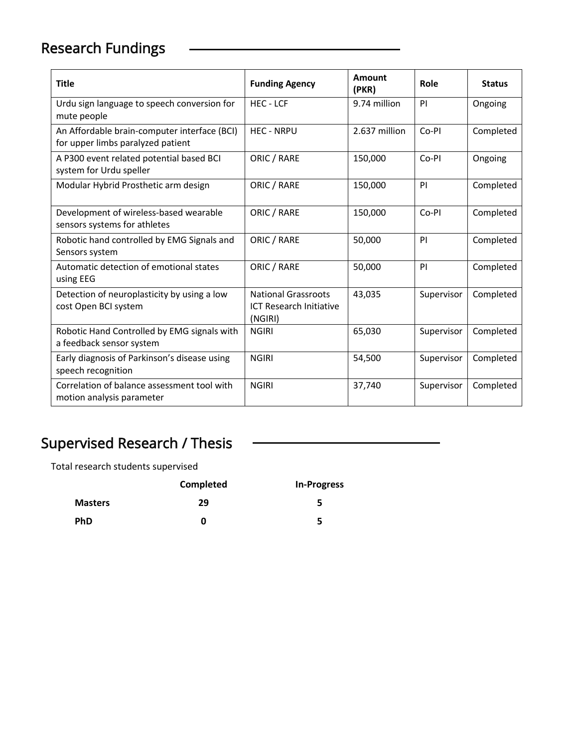# Research Fundings

| <b>Title</b>                                                                      | <b>Funding Agency</b>                                                   | Amount<br>(PKR) | Role       | <b>Status</b> |
|-----------------------------------------------------------------------------------|-------------------------------------------------------------------------|-----------------|------------|---------------|
| Urdu sign language to speech conversion for<br>mute people                        | <b>HEC-LCF</b>                                                          | 9.74 million    | PI         | Ongoing       |
| An Affordable brain-computer interface (BCI)<br>for upper limbs paralyzed patient | <b>HEC - NRPU</b>                                                       | 2.637 million   | Co-PI      | Completed     |
| A P300 event related potential based BCI<br>system for Urdu speller               | ORIC / RARE                                                             | 150,000         | Co-PI      | Ongoing       |
| Modular Hybrid Prosthetic arm design                                              | ORIC / RARE                                                             | 150,000         | PI         | Completed     |
| Development of wireless-based wearable<br>sensors systems for athletes            | ORIC / RARE                                                             | 150,000         | Co-PI      | Completed     |
| Robotic hand controlled by EMG Signals and<br>Sensors system                      | ORIC / RARE                                                             | 50,000          | PI         | Completed     |
| Automatic detection of emotional states<br>using EEG                              | ORIC / RARE                                                             | 50,000          | PI         | Completed     |
| Detection of neuroplasticity by using a low<br>cost Open BCI system               | <b>National Grassroots</b><br><b>ICT Research Initiative</b><br>(NGIRI) | 43,035          | Supervisor | Completed     |
| Robotic Hand Controlled by EMG signals with<br>a feedback sensor system           | <b>NGIRI</b>                                                            | 65,030          | Supervisor | Completed     |
| Early diagnosis of Parkinson's disease using<br>speech recognition                | <b>NGIRI</b>                                                            | 54,500          | Supervisor | Completed     |
| Correlation of balance assessment tool with<br>motion analysis parameter          | <b>NGIRI</b>                                                            | 37,740          | Supervisor | Completed     |

## Supervised Research / Thesis

Total research students supervised

|                | Completed | <b>In-Progress</b> |
|----------------|-----------|--------------------|
| <b>Masters</b> | 29        | 5.                 |
| <b>PhD</b>     | O         | 5                  |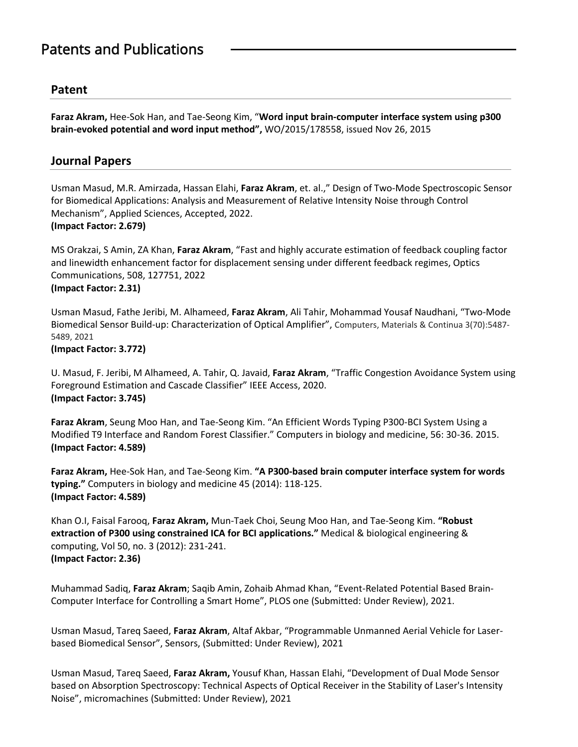### Patents and Publications

### **Patent**

**Faraz Akram,** Hee-Sok Han, and Tae-Seong Kim, "**Word input brain-computer interface system using p300 brain-evoked potential and word input method",** WO/2015/178558, issued Nov 26, 2015

### **Journal Papers**

Usman Masud, M.R. Amirzada, Hassan Elahi, **Faraz Akram**, et. al.," Design of Two-Mode Spectroscopic Sensor for Biomedical Applications: Analysis and Measurement of Relative Intensity Noise through Control Mechanism", Applied Sciences, Accepted, 2022. **(Impact Factor: 2.679)**

MS Orakzai, S Amin, ZA Khan, **Faraz Akram**, "Fast and highly accurate estimation of feedback coupling factor and linewidth enhancement factor for displacement sensing under different feedback regimes, Optics Communications, 508, 127751, 2022 **(Impact Factor: 2.31)**

Usman Masud, Fathe Jeribi, M. Alhameed, **Faraz Akram**, Ali Tahir, Mohammad Yousaf Naudhani, "Two-Mode Biomedical Sensor Build-up: Characterization of Optical Amplifier", Computers, Materials & Continua 3(70):5487- 5489, 2021

### **(Impact Factor: 3.772)**

U. Masud, F. Jeribi, M Alhameed, A. Tahir, Q. Javaid, **Faraz Akram**, "Traffic Congestion Avoidance System using Foreground Estimation and Cascade Classifier" IEEE Access, 2020. **(Impact Factor: 3.745)**

**Faraz Akram**, Seung Moo Han, and Tae-Seong Kim. "An Efficient Words Typing P300-BCI System Using a Modified T9 Interface and Random Forest Classifier." Computers in biology and medicine, 56: 30-36. 2015. **(Impact Factor: 4.589)**

**Faraz Akram,** Hee-Sok Han, and Tae-Seong Kim. **"A P300-based brain computer interface system for words typing."** Computers in biology and medicine 45 (2014): 118-125. **(Impact Factor: 4.589)**

Khan O.I, Faisal Farooq, **Faraz Akram,** Mun-Taek Choi, Seung Moo Han, and Tae-Seong Kim. **"Robust extraction of P300 using constrained ICA for BCI applications."** Medical & biological engineering & computing, Vol 50, no. 3 (2012): 231-241. **(Impact Factor: 2.36)**

Muhammad Sadiq, **Faraz Akram**; Saqib Amin, Zohaib Ahmad Khan, "Event-Related Potential Based Brain-Computer Interface for Controlling a Smart Home", PLOS one (Submitted: Under Review), 2021.

Usman Masud, Tareq Saeed, **Faraz Akram**, Altaf Akbar, "Programmable Unmanned Aerial Vehicle for Laserbased Biomedical Sensor", Sensors, (Submitted: Under Review), 2021

Usman Masud, Tareq Saeed, **Faraz Akram,** Yousuf Khan, Hassan Elahi, "Development of Dual Mode Sensor based on Absorption Spectroscopy: Technical Aspects of Optical Receiver in the Stability of Laser's Intensity Noise", micromachines (Submitted: Under Review), 2021